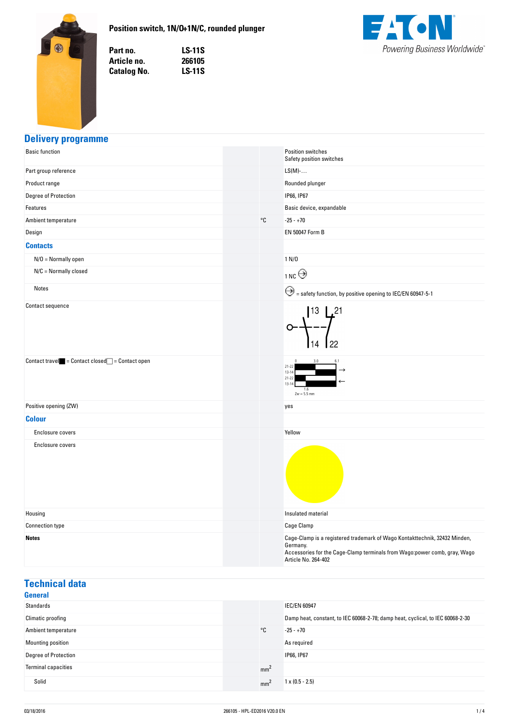

### **Position-switch,-1N/O+1N/C,-rounded-plunger**

Part no. **no. LS-11S** Article no. **no. 266105 Catalog No. No. LS-11S**



# **Delivery-programme**

| <b>Basic function</b>                                                             |              | Position switches<br>Safety position switches                                                                                                                                              |
|-----------------------------------------------------------------------------------|--------------|--------------------------------------------------------------------------------------------------------------------------------------------------------------------------------------------|
| Part group reference                                                              |              | $LS(M)-$                                                                                                                                                                                   |
| Product range                                                                     |              | Rounded plunger                                                                                                                                                                            |
| Degree of Protection                                                              |              | IP66, IP67                                                                                                                                                                                 |
| Features                                                                          |              | Basic device, expandable                                                                                                                                                                   |
| Ambient temperature                                                               | $^{\circ}$ C | $-25 - +70$                                                                                                                                                                                |
| Design                                                                            |              | EN 50047 Form B                                                                                                                                                                            |
| <b>Contacts</b>                                                                   |              |                                                                                                                                                                                            |
| $N/O = Normally open$                                                             |              | 1 N/D                                                                                                                                                                                      |
| $N/C =$ Normally closed                                                           |              | 1NC                                                                                                                                                                                        |
| Notes                                                                             |              | $\bigodot$ = safety function, by positive opening to IEC/EN 60947-5-1                                                                                                                      |
| Contact sequence                                                                  |              | $ 13 $ , 21<br>22<br>14                                                                                                                                                                    |
| $\text{Context travel} \quad = \text{Context closed} \quad = \text{Context open}$ |              | 3.0<br>$21 - 22$<br>$13 - 14$<br>$21 - 22$<br>$13 - 14$<br>1.6<br>$Zw = 5.5$ mm                                                                                                            |
| Positive opening (ZW)                                                             |              | yes                                                                                                                                                                                        |
| <b>Colour</b>                                                                     |              |                                                                                                                                                                                            |
| Enclosure covers                                                                  |              | Yellow                                                                                                                                                                                     |
| Enclosure covers                                                                  |              |                                                                                                                                                                                            |
| Housing                                                                           |              | Insulated material                                                                                                                                                                         |
| <b>Connection type</b>                                                            |              | Cage Clamp                                                                                                                                                                                 |
| <b>Notes</b>                                                                      |              | Cage-Clamp is a registered trademark of Wago Kontakttechnik, 32432 Minden,<br>Germany.<br>Accessories for the Cage-Clamp terminals from Wago:power comb, gray, Wago<br>Article No. 264-402 |

# **Technical-data**

| <b>General</b>              |                 |                                                                                |
|-----------------------------|-----------------|--------------------------------------------------------------------------------|
| Standards                   |                 | <b>IEC/EN 60947</b>                                                            |
| Climatic proofing           |                 | Damp heat, constant, to IEC 60068-2-78; damp heat, cyclical, to IEC 60068-2-30 |
| Ambient temperature         | °C              | $-25 - +70$                                                                    |
| Mounting position           |                 | As required                                                                    |
| <b>Degree of Protection</b> |                 | IP66, IP67                                                                     |
| <b>Terminal capacities</b>  | mm <sup>2</sup> |                                                                                |
| Solid                       | mm              | $1 \times (0.5 - 2.5)$                                                         |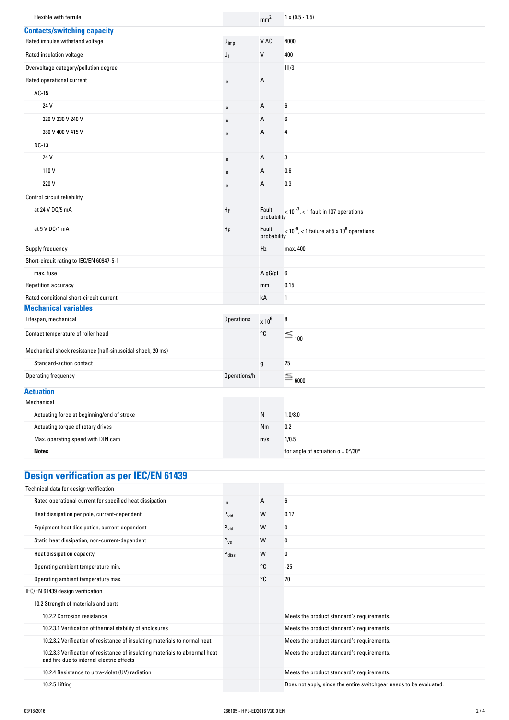| Flexible with ferrule                                                 |                   |                      | $1 \times (0.5 - 1.5)$                                               |
|-----------------------------------------------------------------------|-------------------|----------------------|----------------------------------------------------------------------|
|                                                                       |                   | mm <sup>2</sup>      |                                                                      |
| <b>Contacts/switching capacity</b><br>Rated impulse withstand voltage | $U_{imp}$         | V AC                 | 4000                                                                 |
| Rated insulation voltage                                              |                   |                      |                                                                      |
|                                                                       | $U_i$             | V                    | 400                                                                  |
| Overvoltage category/pollution degree                                 |                   |                      | III/3                                                                |
| Rated operational current                                             | l <sub>e</sub>    | Α                    |                                                                      |
| AC-15                                                                 |                   |                      |                                                                      |
| 24 V                                                                  | $I_{e}$           | Α                    | 6                                                                    |
| 220 V 230 V 240 V                                                     | $I_{e}$           | Α                    | 6                                                                    |
| 380 V 400 V 415 V                                                     | $I_{\rm e}$       | Α                    | 4                                                                    |
| DC-13                                                                 |                   |                      |                                                                      |
| 24 V                                                                  | $I_{e}$           | Α                    | 3                                                                    |
| 110V                                                                  | le                | Α                    | 0.6                                                                  |
| 220 V                                                                 | $I_{e}$           | А                    | 0.3                                                                  |
| Control circuit reliability                                           |                   |                      |                                                                      |
| at 24 V DC/5 mA                                                       | $H_F$             | Fault<br>probability | $<$ 10 $^{-7}$ , $<$ 1 fault in 107 operations                       |
| at 5 V DC/1 mA                                                        | ${\sf H}_{\sf F}$ | Fault<br>probability | $<$ 10 <sup>-6</sup> , < 1 failure at 5 x 10 <sup>6</sup> operations |
| Supply frequency                                                      |                   | Hz                   | max. 400                                                             |
| Short-circuit rating to IEC/EN 60947-5-1                              |                   |                      |                                                                      |
| max. fuse                                                             |                   | A gG/gL 6            |                                                                      |
| Repetition accuracy                                                   |                   | mm                   | 0.15                                                                 |
| Rated conditional short-circuit current                               |                   | kA                   | 1                                                                    |
| <b>Mechanical variables</b>                                           |                   |                      |                                                                      |
| Lifespan, mechanical                                                  | Operations        | $\times 10^6$        | 8                                                                    |
| Contact temperature of roller head                                    |                   | °C                   | $\tilde{\equiv}$ 100                                                 |
| Mechanical shock resistance (half-sinusoidal shock, 20 ms)            |                   |                      |                                                                      |
| Standard-action contact                                               |                   | g                    | 25                                                                   |
| Operating frequency                                                   | Operations/h      |                      | $\equiv$ $_{6000}$                                                   |
| <b>Actuation</b>                                                      |                   |                      |                                                                      |
| Mechanical                                                            |                   |                      |                                                                      |
| Actuating force at beginning/end of stroke                            |                   | N                    | 1.0/8.0                                                              |
| Actuating torque of rotary drives                                     |                   | Nm                   | 0.2                                                                  |
| Max. operating speed with DIN cam                                     |                   | m/s                  | 1/0.5                                                                |
| <b>Notes</b>                                                          |                   |                      | for angle of actuation $\alpha = 0^{\circ}/30^{\circ}$               |
| <b>Design verification as per IEC/EN 61439</b>                        |                   |                      |                                                                      |
| Technical data for design verification                                |                   |                      |                                                                      |
| Rated operational current for specified heat dissipation              |                   | Α                    | 6                                                                    |

| Rated operational current for specified heat dissipation                                                                  | ı,                | A  | 6                                                                  |
|---------------------------------------------------------------------------------------------------------------------------|-------------------|----|--------------------------------------------------------------------|
| Heat dissipation per pole, current-dependent                                                                              | $P_{\text{vid}}$  | W  | 0.17                                                               |
| Equipment heat dissipation, current-dependent                                                                             | $P_{\text{vid}}$  | W  | 0                                                                  |
| Static heat dissipation, non-current-dependent                                                                            | $P_{VS}$          | W  | 0                                                                  |
| Heat dissipation capacity                                                                                                 | $P_{\text{diss}}$ | W  | 0                                                                  |
| Operating ambient temperature min.                                                                                        |                   | °C | $-25$                                                              |
| Operating ambient temperature max.                                                                                        |                   | °C | 70                                                                 |
| IEC/EN 61439 design verification                                                                                          |                   |    |                                                                    |
| 10.2 Strength of materials and parts                                                                                      |                   |    |                                                                    |
| 10.2.2 Corrosion resistance                                                                                               |                   |    | Meets the product standard's requirements.                         |
| 10.2.3.1 Verification of thermal stability of enclosures                                                                  |                   |    | Meets the product standard's requirements.                         |
| 10.2.3.2 Verification of resistance of insulating materials to normal heat                                                |                   |    | Meets the product standard's requirements.                         |
| 10.2.3.3 Verification of resistance of insulating materials to abnormal heat<br>and fire due to internal electric effects |                   |    | Meets the product standard's requirements.                         |
| 10.2.4 Resistance to ultra-violet (UV) radiation                                                                          |                   |    | Meets the product standard's requirements.                         |
| 10.2.5 Lifting                                                                                                            |                   |    | Does not apply, since the entire switchgear needs to be evaluated. |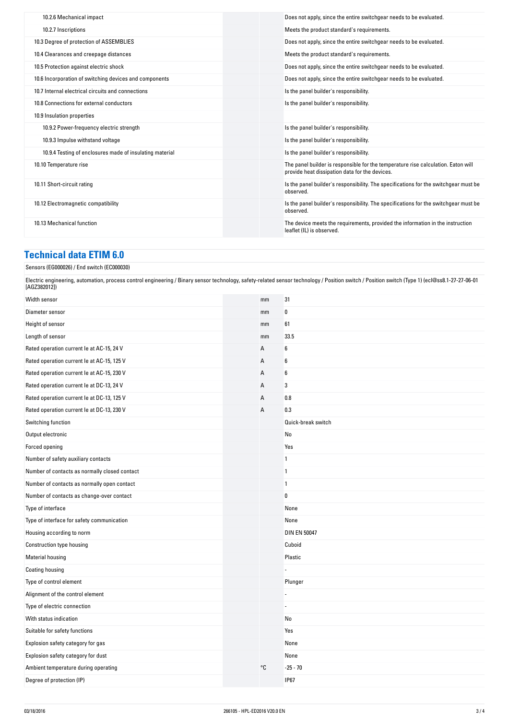| 10.2.6 Mechanical impact                                 | Does not apply, since the entire switchgear needs to be evaluated.                                                                  |
|----------------------------------------------------------|-------------------------------------------------------------------------------------------------------------------------------------|
| 10.2.7 Inscriptions                                      | Meets the product standard's requirements.                                                                                          |
| 10.3 Degree of protection of ASSEMBLIES                  | Does not apply, since the entire switchgear needs to be evaluated.                                                                  |
| 10.4 Clearances and creepage distances                   | Meets the product standard's requirements.                                                                                          |
| 10.5 Protection against electric shock                   | Does not apply, since the entire switchgear needs to be evaluated.                                                                  |
| 10.6 Incorporation of switching devices and components   | Does not apply, since the entire switchgear needs to be evaluated.                                                                  |
| 10.7 Internal electrical circuits and connections        | Is the panel builder's responsibility.                                                                                              |
| 10.8 Connections for external conductors                 | Is the panel builder's responsibility.                                                                                              |
| 10.9 Insulation properties                               |                                                                                                                                     |
| 10.9.2 Power-frequency electric strength                 | Is the panel builder's responsibility.                                                                                              |
| 10.9.3 Impulse withstand voltage                         | Is the panel builder's responsibility.                                                                                              |
| 10.9.4 Testing of enclosures made of insulating material | Is the panel builder's responsibility.                                                                                              |
| 10.10 Temperature rise                                   | The panel builder is responsible for the temperature rise calculation. Eaton will<br>provide heat dissipation data for the devices. |
| 10.11 Short-circuit rating                               | Is the panel builder's responsibility. The specifications for the switchgear must be<br>observed.                                   |
| 10.12 Electromagnetic compatibility                      | Is the panel builder's responsibility. The specifications for the switchgear must be<br>observed.                                   |
| 10.13 Mechanical function                                | The device meets the requirements, provided the information in the instruction<br>leaflet (IL) is observed.                         |
|                                                          |                                                                                                                                     |

# **Technical-data-ETIM-6.0**

#### Sensors (EG000026) / End switch (EC000030)

Electric engineering, automation, process control engineering / Binary sensor technology, safety-related sensor technology / Position switch / Position switch (Type 1) (ecl@ss8.1-27-27-06-01 [AGZ382012])

| Width sensor                                  | mm | 31                  |
|-----------------------------------------------|----|---------------------|
| Diameter sensor                               | mm | 0                   |
| Height of sensor                              | mm | 61                  |
| Length of sensor                              | mm | 33.5                |
| Rated operation current le at AC-15, 24 V     | А  | 6                   |
| Rated operation current le at AC-15, 125 V    | Α  | 6                   |
| Rated operation current le at AC-15, 230 V    | A  | 6                   |
| Rated operation current le at DC-13, 24 V     | A  | 3                   |
| Rated operation current le at DC-13, 125 V    | Α  | 0.8                 |
| Rated operation current le at DC-13, 230 V    | A  | 0.3                 |
| Switching function                            |    | Quick-break switch  |
| Output electronic                             |    | No                  |
| Forced opening                                |    | Yes                 |
| Number of safety auxiliary contacts           |    | 1                   |
| Number of contacts as normally closed contact |    | $\mathbf{1}$        |
| Number of contacts as normally open contact   |    | $\mathbf{1}$        |
| Number of contacts as change-over contact     |    | 0                   |
| Type of interface                             |    | None                |
| Type of interface for safety communication    |    | None                |
| Housing according to norm                     |    | <b>DIN EN 50047</b> |
| Construction type housing                     |    | Cuboid              |
| <b>Material housing</b>                       |    | Plastic             |
| Coating housing                               |    |                     |
| Type of control element                       |    | Plunger             |
| Alignment of the control element              |    |                     |
| Type of electric connection                   |    |                     |
| With status indication                        |    | No                  |
| Suitable for safety functions                 |    | Yes                 |
| Explosion safety category for gas             |    | None                |
| Explosion safety category for dust            |    | None                |
| Ambient temperature during operating          | °C | $-25 - 70$          |
| Degree of protection (IP)                     |    | <b>IP67</b>         |